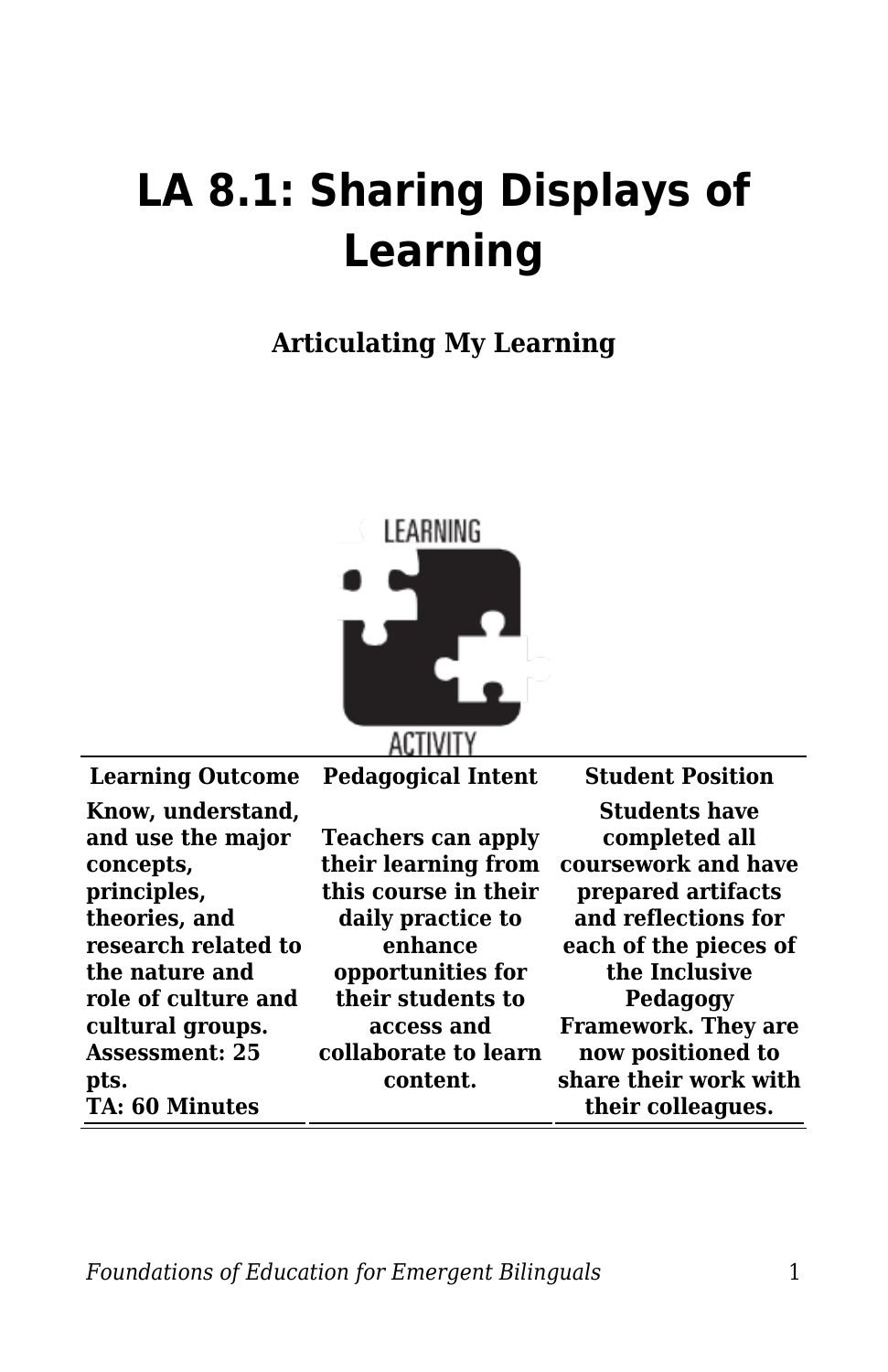## **LA 8.1: Sharing Displays of Learning**

**Articulating My Learning**

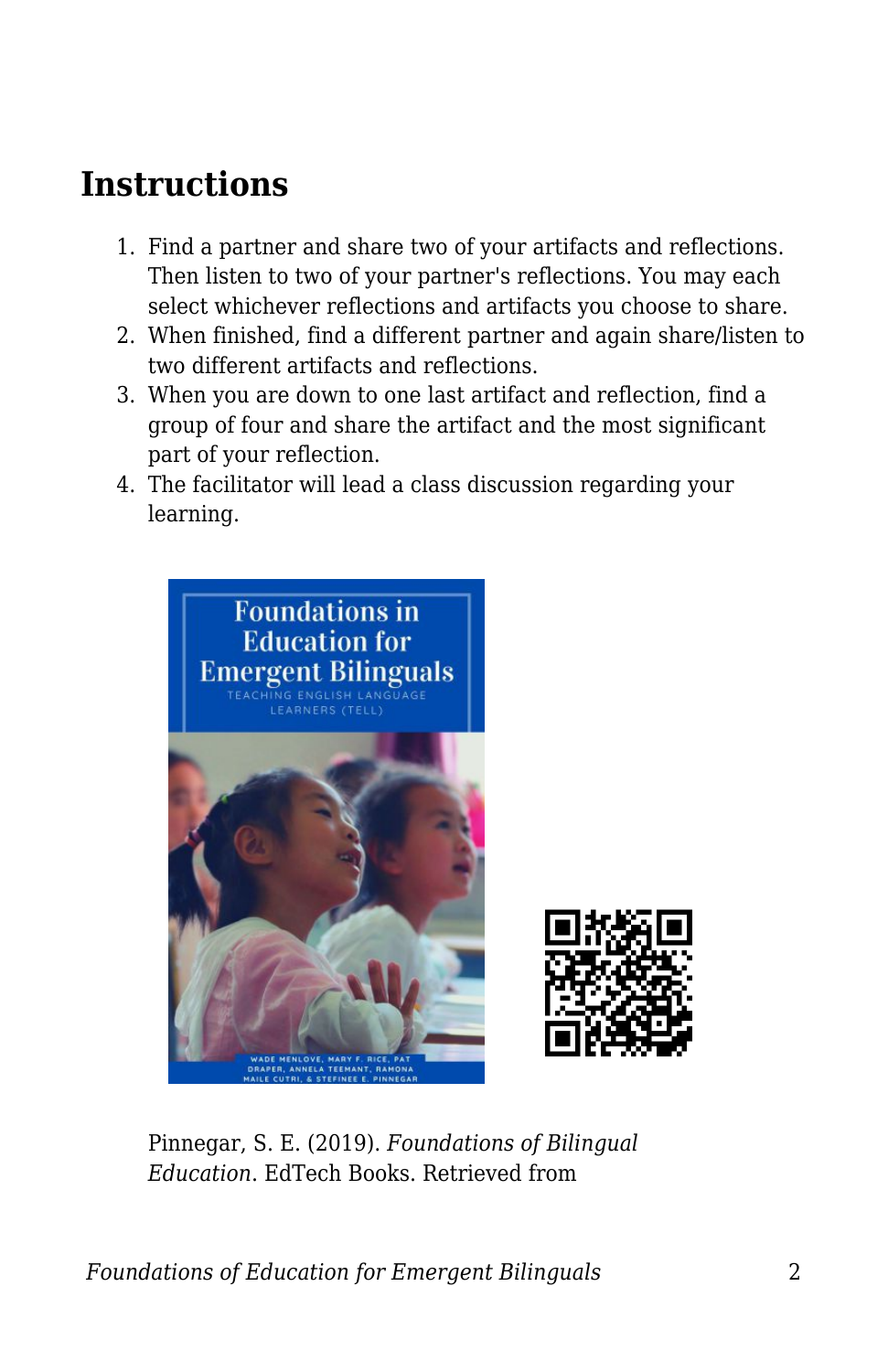## **Instructions**

- 1. Find a partner and share two of your artifacts and reflections. Then listen to two of your partner's reflections. You may each select whichever reflections and artifacts you choose to share.
- 2. When finished, find a different partner and again share/listen to two different artifacts and reflections.
- 3. When you are down to one last artifact and reflection, find a group of four and share the artifact and the most significant part of your reflection.
- 4. The facilitator will lead a class discussion regarding your learning.



Pinnegar, S. E. (2019). *Foundations of Bilingual Education*. EdTech Books. Retrieved from